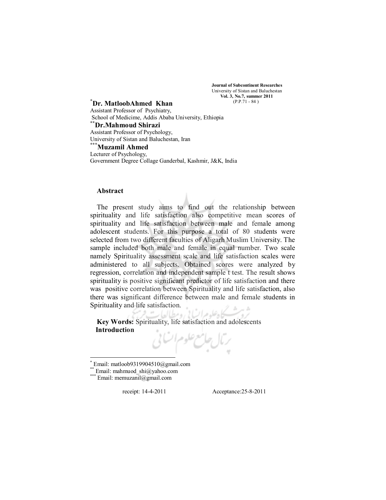**Journal of Subcontinent Researches**  University of Sistan and Baluchestan **Vol. 3, No.7, summer 2011**  (P.P.71 - 84 )

### **\* Dr. MatloobAhmed Khan**

Assistant Professor of Psychiatry, School of Medicime, Addis Ababa University, Ethiopia

## **\*\*Dr.Mahmoud Shirazi**

Assistant Professor of Psychology, University of Sistan and Baluchestan, Iran

**\*\*\* Muzamil Ahmed**  Lecturer of Psychology, Government Degree Collage Ganderbal, Kashmir, J&K, India

# **Abstract**

The present study aims to find out the relationship between spirituality and life satisfaction also competitive mean scores of spirituality and life satisfaction between male and female among adolescent students. For this purpose a total of 80 students were selected from two different faculties of Aligarh Muslim University. The sample included both male and female in equal number. Two scale namely Spirituality assessment scale and life satisfaction scales were administered to all subjects. Obtained scores were analyzed by regression, correlation and independent sample t test. The result shows spirituality is positive significant predictor of life satisfaction and there was positive correlation between Spirituality and life satisfaction, also there was significant difference between male and female students in Spirituality and life satisfaction.

**Key Words:** Spirituality, life satisfaction and adolescents **Introduction** 



Email: mahmuod shi@yahoo.com

receipt: 14-4-2011 Acceptance:25-8-2011

Email: memuzanil@gmail.com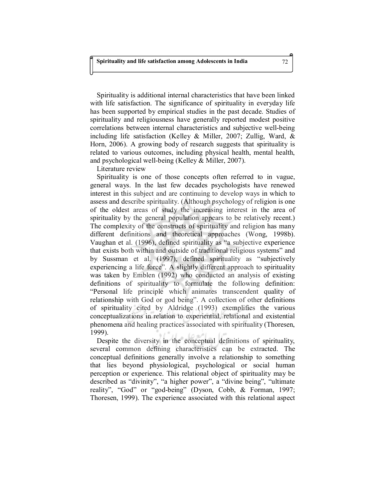Spirituality is additional internal characteristics that have been linked with life satisfaction. The significance of spirituality in everyday life has been supported by empirical studies in the past decade. Studies of spirituality and religiousness have generally reported modest positive correlations between internal characteristics and subjective well-being including life satisfaction (Kelley & Miller, 2007; Zullig, Ward, & Horn, 2006). A growing body of research suggests that spirituality is related to various outcomes, including physical health, mental health, and psychological well-being (Kelley & Miller, 2007).

Literature review

Spirituality is one of those concepts often referred to in vague, general ways. In the last few decades psychologists have renewed interest in this subject and are continuing to develop ways in which to assess and describe spirituality. (Although psychology of religion is one of the oldest areas of study the increasing interest in the area of spirituality by the general population appears to be relatively recent.) The complexity of the constructs of spirituality and religion has many different definitions and theoretical approaches (Wong, 1998b). Vaughan et al. (1996), defined spirituality as "a subjective experience that exists both within and outside of traditional religious systems" and by Sussman et al. (1997), defined spirituality as "subjectively experiencing a life force". A slightly different approach to spirituality was taken by Emblen (1992) who conducted an analysis of existing definitions of spirituality to formulate the following definition: "Personal life principle which animates transcendent quality of relationship with God or god being". A collection of other definitions of spirituality cited by Aldridge (1993) exemplifies the various conceptualizations in relation to experiential, relational and existential phenomena and healing practices associated with spirituality (Thoresen, 1999).

Despite the diversity in the conceptual definitions of spirituality, several common defining characteristics can be extracted. The conceptual definitions generally involve a relationship to something that lies beyond physiological, psychological or social human perception or experience. This relational object of spirituality may be described as "divinity", "a higher power", a "divine being", "ultimate reality", "God" or "god-being" (Dyson, Cobb, & Forman, 1997; Thoresen, 1999). The experience associated with this relational aspect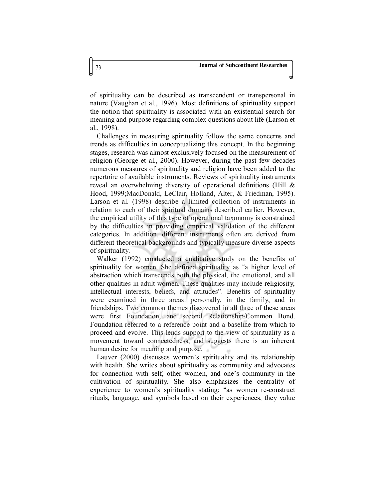of spirituality can be described as transcendent or transpersonal in nature (Vaughan et al., 1996). Most definitions of spirituality support the notion that spirituality is associated with an existential search for meaning and purpose regarding complex questions about life (Larson et al., 1998).

Challenges in measuring spirituality follow the same concerns and trends as difficulties in conceptualizing this concept. In the beginning stages, research was almost exclusively focused on the measurement of religion (George et al., 2000). However, during the past few decades numerous measures of spirituality and religion have been added to the repertoire of available instruments. Reviews of spirituality instruments reveal an overwhelming diversity of operational definitions (Hill & Hood, 1999;MacDonald, LeClair, Holland, Alter, & Friedman, 1995). Larson et al. (1998) describe a limited collection of instruments in relation to each of their spiritual domains described earlier. However, the empirical utility of this type of operational taxonomy is constrained by the difficulties in providing empirical validation of the different categories. In addition, different instruments often are derived from different theoretical backgrounds and typically measure diverse aspects of spirituality.

Walker (1992) conducted a qualitative study on the benefits of spirituality for women. She defined spirituality as "a higher level of abstraction which transcends both the physical, the emotional, and all other qualities in adult women. These qualities may include religiosity, intellectual interests, beliefs, and attitudes". Benefits of spirituality were examined in three areas: personally, in the family, and in friendships. Two common themes discovered in all three of these areas were first Foundation, and second Relationship/Common Bond. Foundation referred to a reference point and a baseline from which to proceed and evolve. This lends support to the view of spirituality as a movement toward connectedness, and suggests there is an inherent human desire for meaning and purpose.

Lauver (2000) discusses women's spirituality and its relationship with health. She writes about spirituality as community and advocates for connection with self, other women, and one's community in the cultivation of spirituality. She also emphasizes the centrality of experience to women's spirituality stating: "as women re-construct rituals, language, and symbols based on their experiences, they value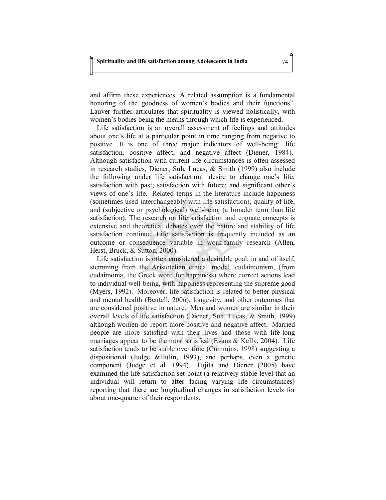and affirm these experiences. A related assumption is a fundamental honoring of the goodness of women's bodies and their functions". Lauver further articulates that spirituality is viewed holistically, with women's bodies being the means through which life is experienced.

Life satisfaction is an overall assessment of feelings and attitudes about one's life at a particular point in time ranging from negative to positive. It is one of three major indicators of well-being: life satisfaction, positive affect, and negative affect (Diener, 1984). Although satisfaction with current life circumstances is often assessed in research studies, Diener, Suh, Lucas, & Smith (1999) also include the following under life satisfaction: desire to change one's life; satisfaction with past; satisfaction with future; and significant other's views of one's life. Related terms in the literature include happiness (sometimes used interchangeably with life satisfaction), quality of life, and (subjective or psychological) well-being (a broader term than life satisfaction). The research on life satisfaction and cognate concepts is extensive and theoretical debates over the nature and stability of life satisfaction continue. Life satisfaction is frequently included as an outcome or consequence variable in work-family research (Allen, Herst, Bruck, & Sutton, 2000).

Life satisfaction is often considered a desirable goal, in and of itself, stemming from the Aristotelian ethical model, eudaimonism, (from eudaimonia, the Greek word for happiness) where correct actions lead to individual well-being, with happiness representing the supreme good (Myers, 1992). Moreover, life satisfaction is related to better physical and mental health (Beutell, 2006), longevity, and other outcomes that are considered positive in nature. Men and women are similar in their overall levels of life satisfaction (Diener, Suh, Lucas, & Smith, 1999) although women do report more positive and negative affect. Married people are more satisfied with their lives and those with life-long marriages appear to be the most satisfied (Evans  $\&$  Kelly, 2004). Life satisfaction tends to be stable over time (Cummins, 1998) suggesting a dispositional (Judge &Hulin, 1993), and perhaps, even a genetic component (Judge et al. 1994). Fujita and Diener (2005) have examined the life satisfaction set-point (a relatively stable level that an individual will return to after facing varying life circumstances) reporting that there are longitudinal changes in satisfaction levels for about one-quarter of their respondents.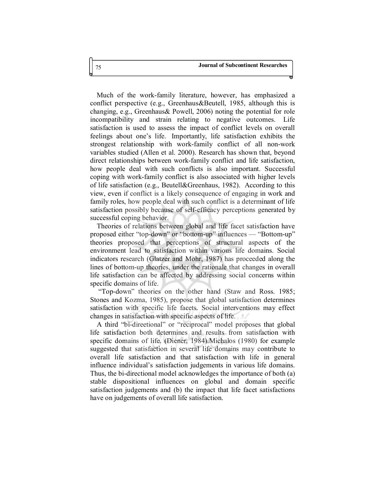Much of the work-family literature, however, has emphasized a conflict perspective (e.g., Greenhaus&Beutell, 1985, although this is changing, e.g., Greenhaus& Powell, 2006) noting the potential for role incompatibility and strain relating to negative outcomes. Life satisfaction is used to assess the impact of conflict levels on overall feelings about one's life. Importantly, life satisfaction exhibits the strongest relationship with work-family conflict of all non-work variables studied (Allen et al. 2000). Research has shown that, beyond direct relationships between work-family conflict and life satisfaction, how people deal with such conflicts is also important. Successful coping with work-family conflict is also associated with higher levels of life satisfaction (e.g., Beutell&Greenhaus, 1982). According to this view, even if conflict is a likely consequence of engaging in work and family roles, how people deal with such conflict is a determinant of life satisfaction possibly because of self-efficacy perceptions generated by successful coping behavior.

Theories of relations between global and life facet satisfaction have proposed either "top-down" or "bottom-up" influences — "Bottom-up" theories proposed that perceptions of structural aspects of the environment lead to satisfaction within various life domains. Social indicators research (Glatzer and Mohr, 1987) has proceeded along the lines of bottom-up theories, under the rationale that changes in overall life satisfaction can be affected by addressing social concerns within specific domains of life.

 "Top-down" theories on the other hand (Staw and Ross. 1985; Stones and Kozma, 1985), propose that global satisfaction determines satisfaction with specific life facets. Social interventions may effect changes in satisfaction with specific aspects of life.

A third "bi-direetional" or "reciprocal" model proposes that global life satisfaction both determines and results from satisfaction with specific domains of life. (Diener, 1984).Michalos (1980) for example suggested that satisfaction in several life domains may contribute to overall life satisfaction and that satisfaction with life in general influence individual's satisfaction judgements in various life domains. Thus, the bi-directional model acknowledges the importance of both (a) stable dispositional influences on global and domain specific satisfaction judgements and (b) the impact that life facet satisfactions have on judgements of overall life satisfaction.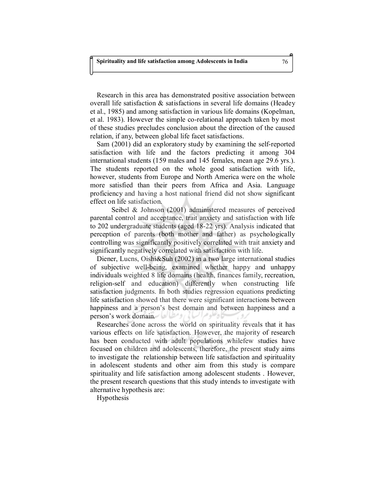Research in this area has demonstrated positive association between overall life satisfaction & satisfactions in several life domains (Headey et al., 1985) and among satisfaction in various life domains (Kopelman, et al. 1983). However the simple co-relational approach taken by most of these studies precludes conclusion about the direction of the caused relation, if any, between global life facet satisfactions.

Sam (2001) did an exploratory study by examining the self-reported satisfaction with life and the factors predicting it among 304 international students (159 males and 145 females, mean age 29.6 yrs.). The students reported on the whole good satisfaction with life, however, students from Europe and North America were on the whole more satisfied than their peers from Africa and Asia. Language proficiency and having a host national friend did not show significant effect on life satisfaction.

 Seibel & Johnson (2001) administered measures of perceived parental control and acceptance, trait anxiety and satisfaction with life to 202 undergraduate students (aged 18-22 yrs). Analysis indicated that perception of parents (both mother and father) as psychologically controlling was significantly positively correlated with trait anxiety and significantly negatively correlated with satisfaction with life.

Diener, Lucns, Oishi&Suh (2002) in a two large international studies of subjective well-being, examined whether happy and unhappy individuals weighted 8 life domains (health, finances family, recreation, religion-self and education) differently when constructing life satisfaction judgments. In both studies regression equations predicting life satisfaction showed that there were significant interactions between happiness and a person's best domain and between happiness and a person's work domain.

Researches done across the world on spirituality reveals that it has various effects on life satisfaction. However, the majority of research has been conducted with adult populations whilefew studies have focused on children and adolescents, therefore, the present study aims to investigate the relationship between life satisfaction and spirituality in adolescent students and other aim from this study is compare spirituality and life satisfaction among adolescent students . However, the present research questions that this study intends to investigate with alternative hypothesis are:

Hypothesis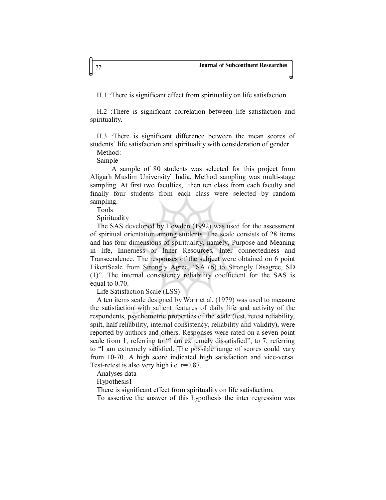H.1 :There is significant effect from spirituality on life satisfaction.

H.2 :There is significant correlation between life satisfaction and spirituality.

H.3 :There is significant difference between the mean scores of students' life satisfaction and spirituality with consideration of gender. Method:

Sample

 A sample of 80 students was selected for this project from Aligarh Muslim University' India. Method sampling was multi-stage sampling. At first two faculties, then ten class from each faculty and finally four students from each class were selected by random sampling.

Tools

Spirituality

The SAS developed by Howden (1992) was used for the assessment of spiritual orientation among students. The scale consists of 28 items and has four dimensions of spirituality, namely, Purpose and Meaning in life, Innerness or Inner Resources, Inter connectedness and Transcendence. The responses of the subject were obtained on 6 point LikertScale from Strongly Agree, "SA (6) to Strongly Disagree, SD (1)". The internal consistency reliability coefficient for the SAS is equal to 0.70.

Life Satisfaction Scale (LSS)

A ten items scale designed by Warr et al. (1979) was used to measure the satisfaction with salient features of daily life and activity of the respondents, psychometric properties of the scale (test, retest reliability, spilt, half reliability, internal consistency, reliability and validity), were reported by authors and others. Responses were rated on a seven point scale from 1, referring to "I am extremely dissatisfied", to 7, referring to "I am extremely satisfied. The possible range of scores could vary from 10-70. A high score indicated high satisfaction and vice-versa. Test-retest is also very high i.e. r=0.87.

Analyses data

Hypothesis1

There is significant effect from spirituality on life satisfaction.

To assertive the answer of this hypothesis the inter regression was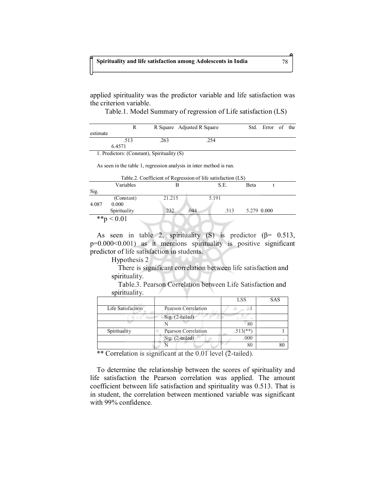applied spirituality was the predictor variable and life satisfaction was the criterion variable.

Table.1. Model Summary of regression of Life satisfaction (LS)

|          | R      |      | R Square Adjusted R Square | Std. | Error of the |  |
|----------|--------|------|----------------------------|------|--------------|--|
| estimate |        |      |                            |      |              |  |
|          | .513   | .263 | 254                        |      |              |  |
|          | 6.4571 |      |                            |      |              |  |

1. Predictors: (Constant), Spirituality (S)

As seen in the table 1, regression analysis in inter method is run.

|       | Table.2. Coefficient of Regression of the satisfaction (ES) |        |              |             |  |  |  |
|-------|-------------------------------------------------------------|--------|--------------|-------------|--|--|--|
|       | Variables                                                   |        | S.E.         | Beta        |  |  |  |
| Sig.  |                                                             |        |              |             |  |  |  |
|       | (Constant)                                                  | 21.215 | 5.191        |             |  |  |  |
| 4.087 | 0.000                                                       |        |              |             |  |  |  |
|       | Spirituality                                                | .232   | .044<br>.513 | 5.279 0.000 |  |  |  |
|       | **p $< 0.01$                                                |        |              |             |  |  |  |

| Table.2. Coefficient of Regression of life satisfaction (LS) |  |  |
|--------------------------------------------------------------|--|--|
|                                                              |  |  |

As seen in table 2, spirituality (S) is predictor ( $\beta$ = 0.513, p=0.000<0.001) as it mentions spirituality is positive significant predictor of life satisfaction in students.

Hypothesis 2

There is significant correlation between life satisfaction and spirituality.

Table.3. Pearson Correlation between Life Satisfaction and spirituality.

|                   |                     | <b>LSS</b> | <b>SAS</b> |
|-------------------|---------------------|------------|------------|
| Life Satisfaction | Pearson Correlation |            |            |
|                   | Sig. (2-tailed)     |            |            |
|                   |                     | 80         |            |
| Spirituality      | Pearson Correlation | **         |            |
|                   | Sig. (2-tailed)     | .000       |            |
|                   |                     | 80         |            |

\*\* Correlation is significant at the 0.01 level (2-tailed).

To determine the relationship between the scores of spirituality and life satisfaction the Pearson correlation was applied. The amount coefficient between life satisfaction and spirituality was 0.513. That is in student, the correlation between mentioned variable was significant with 99% confidence.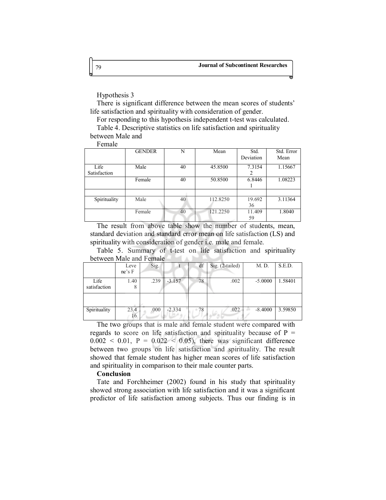Hypothesis 3

There is significant difference between the mean scores of students' life satisfaction and spirituality with consideration of gender.

For responding to this hypothesis independent t-test was calculated.

Table 4. Descriptive statistics on life satisfaction and spirituality between Male and

Female

|              | <b>GENDER</b> | N  | Mean     | Std.<br>Deviation | Std. Error<br>Mean |
|--------------|---------------|----|----------|-------------------|--------------------|
| Life         | Male          | 40 | 45.8500  | 7.3154            | 1.15667            |
| Satisfaction |               |    |          |                   |                    |
|              | Female        | 40 | 50.8500  | 6.8446            | 1.08223            |
|              |               |    |          |                   |                    |
|              |               |    |          |                   |                    |
| Spirituality | Male          | 40 | 112.8250 | 19.692            | 3.11364            |
|              |               |    |          | 36                |                    |
|              | Female        | 40 | 121.2250 | 11.409            | 1.8040             |
|              |               |    |          | 59                |                    |

The result from above table show the number of students, mean, standard deviation and standard error mean on life satisfaction (LS) and spirituality with consideration of gender i.e. male and female.

Table 5. Summary of t-test on life satisfaction and spirituality between Male and Female

|              | Leve<br>ne's F | Sig. |          | df | Sig. (2-tailed) | M. D.     | S.E.D.  |
|--------------|----------------|------|----------|----|-----------------|-----------|---------|
| Life         | 1.40           | .239 | $-3.157$ | 78 | .002            | $-5.0000$ | 1.58401 |
| satisfaction | 8              |      |          |    |                 |           |         |
|              |                |      |          |    |                 |           |         |
| Spirituality | 23.4<br>16     | .000 | $-2.334$ | 78 | .022            | $-8.4000$ | 3.59850 |

The two groups that is male and female student were compared with regards to score on life satisfaction and spirituality because of  $P =$  $0.002 < 0.01$ ,  $P = 0.022 < 0.05$ ), there was significant difference between two groups on life satisfaction and spirituality. The result showed that female student has higher mean scores of life satisfaction and spirituality in comparison to their male counter parts.

### **Conclusion**

Tate and Forchheimer (2002) found in his study that spirituality showed strong association with life satisfaction and it was a significant predictor of life satisfaction among subjects. Thus our finding is in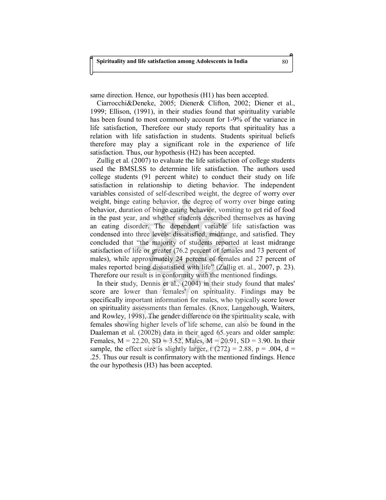same direction. Hence, our hypothesis (H1) has been accepted.

Ciarrocchi&Deneke, 2005; Diener& Clifton, 2002; Diener et al., 1999; Ellison, (1991), in their studies found that spirituality variable has been found to most commonly account for 1-9% of the variance in life satisfaction, Therefore our study reports that spirituality has a relation with life satisfaction in students. Students spiritual beliefs therefore may play a significant role in the experience of life satisfaction. Thus, our hypothesis (H2) has been accepted.

Zullig et al. (2007) to evaluate the life satisfaction of college students used the BMSLSS to determine life satisfaction. The authors used college students (91 percent white) to conduct their study on life satisfaction in relationship to dieting behavior. The independent variables consisted of self-described weight, the degree of worry over weight, binge eating behavior, the degree of worry over binge eating behavior, duration of binge eating behavior, vomiting to get rid of food in the past year, and whether students described themselves as having an eating disorder. The dependent variable life satisfaction was condensed into three levels: dissatisfied, midrange, and satisfied. They concluded that "the majority of students reported at least midrange satisfaction of life or greater (76.2 percent of females and 73 percent of males), while approximately 24 percent of females and 27 percent of males reported being dissatisfied with life" (Zullig et. al., 2007, p. 23). Therefore our result is in conformity with the mentioned findings.

In their study, Dennis et al., (2004) in their study found that males' score are lower than females' on spirituality. Findings may be specifically important information for males, who typically score lower on spirituality assessments than females. (Knox, Langehough, Waiters, and Rowley, 1998), The gender difference on the spirituality scale, with females showing higher levels of life scheme, can also be found in the Daaleman et al. (2002b) data in their aged 65 years and older sample: Females,  $M = 22.20$ ,  $SD = 3.52$ , Males,  $M = 20.91$ ,  $SD = 3.90$ . In their sample, the effect size is slightly larger, t  $(272) = 2.88$ , p = .004, d = .25. Thus our result is confirmatory with the mentioned findings. Hence the our hypothesis (H3) has been accepted.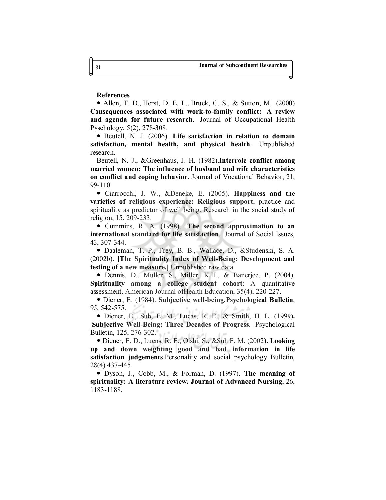### **References**

 Allen, T. D., Herst, D. E. L., Bruck, C. S., & Sutton, M. (2000) **Consequences associated with work-to-family conflict: A review and agenda for future research**. Journal of Occupational Health Pyschology, 5(2), 278-308.

 Beutell, N. J. (2006). **Life satisfaction in relation to domain satisfaction, mental health, and physical health**. Unpublished research.

Beutell, N. J., &Greenhaus, J. H. (1982).**Interrole conflict among married women: The influence of husband and wife characteristics on conflict and coping behavior**. Journal of Vocational Behavior, 21, 99-110.

 Ciarrocchi, J. W., &Deneke, E. (2005). **Happiness and the varieties of religious experience: Religious support**, practice and spirituality as predictor of well being. Research in the social study of religion, 15, 209-233.

 Cummins, R. A. (1998). **The second approximation to an international standard for life satisfaction**. Journal of Social Issues, 43, 307-344.

 Daaleman, T. P., Frey, B. B., Wallace, D., &Studenski, S. A. (2002b). **[The Spirituality Index of Well-Being: Development and testing of a new measure.]** Unpublished raw data.

 Dennis, D., Muller, S., Miller, K.H., & Banerjee, P. (2004). **Spirituality among a college student cohort**: A quantitative assessment. American Journal ofHealth Education, 35(4), 220-227.

 Diener, E. (1984). **Subjective well-being.Psychological Bulletin**, 95, 542-575.

 Diener, E., Suh, E. M., Lucas, R. E., & Smith, H. L. (1999**). Subjective Well-Being: Three Decades of Progress**. Psychological Bulletin, 125, 276-302.

 Diener, E. D., Lucns, R. E., Oishi, S., &Suh F. M. (2002**). Looking up and down weighting good and bad information in life satisfaction judgements**.Personality and social psychology Bulletin, 28(4) 437-445.

 Dyson, J., Cobb, M., & Forman, D. (1997). **The meaning of spirituality: A literature review. Journal of Advanced Nursing**, 26, 1183-1188.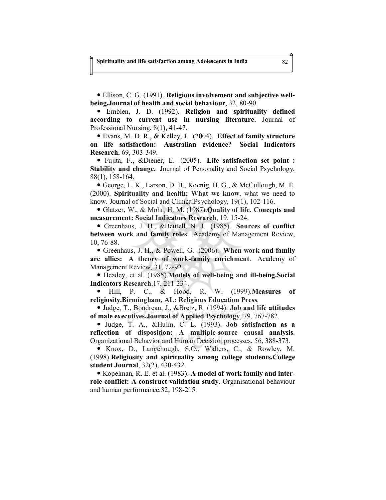Ellison, C. G. (1991). **Religious involvement and subjective wellbeing.Journal of health and social behaviour**, 32, 80-90.

 Emblen, J. D. (1992). **Religion and spirituality defined according to current use in nursing literature**. Journal of Professional Nursing, 8(1), 41-47.

 Evans, M. D. R., & Kelley, J. (2004). **Effect of family structure on life satisfaction: Australian evidence? Social Indicators Research**, 69, 303-349.

 Fujita, F., &Diener, E. (2005). **Life satisfaction set point : Stability and change.** Journal of Personality and Social Psychology, 88(1), 158-164.

 George, L. K., Larson, D. B., Koenig, H. G., & McCullough, M. E. (2000). **Spirituality and health: What we know**, what we need to know. Journal of Social and ClinicalPsychology, 19(1), 102-116.

 Glatzer, W., & Mohr, H. M. (1987).**Quality of life. Concepts and measurement: Social Indicators Research**, 19, 15-24.

 Greenhaus, J. H., &Beutell, N. J. (1985). **Sources of conflict between work and family roles**. Academy of Management Review, 10, 76-88.

 Greenhaus, J. H., & Powell, G. (2006). **When work and family are allies: A theory of work-family enrichment**. Academy of Management Review, 31, 72-92.

 Headey, et al. (1985).**Models of well-being and ill-being.Social Indicators Research**,17, 211-234.

 Hill, P. C., & Hood, R. W. (1999).**Measures of religiosity.Birmingham, AL: Religious Education Press**.

 Judge, T., Boudreau, J., &Bretz, R. (1994). **Job and life attitudes of male executives.Journal of Applied Psychology**, 79, 767-782.

 Judge, T. A., &Hulin, C. L. (1993). **Job satisfaction as a reflection of disposition: A multiple-source causal analysis**. Organizational Behavior and Human Decision processes, 56, 388-373.

 Knox, D., Langehough, S.O., Walters, C., & Rowley, M. (1998).**Religiosity and spirituality among college students.College student Journal**, 32(2), 430-432.

 Kopelman, R. E. et al. (1983). **A model of work family and interrole conflict: A construct validation study**. Organisational behaviour and human performance.32, 198-215.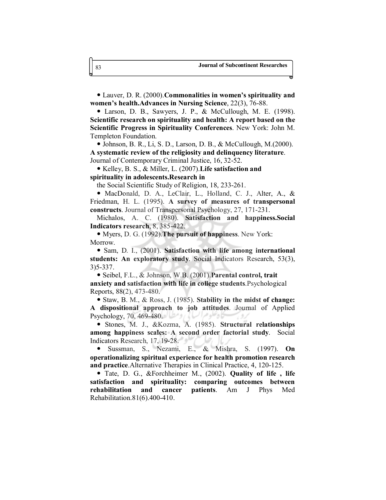Lauver, D. R. (2000).**Commonalities in women's spirituality and women's health.Advances in Nursing Science**, 22(3), 76-88.

 Larson, D. B., Sawyers, J. P., & McCullough, M. E. (1998). **Scientific research on spirituality and health: A report based on the Scientific Progress in Spirituality Conferences**. New York: John M. Templeton Foundation.

 Johnson, B. R., Li, S. D., Larson, D. B., & McCullough, M.(2000). **A systematic review of the religiosity and delinquency literature**. Journal of Contemporary Criminal Justice, 16, 32-52.

 Kelley, B. S., & Miller, L. (2007).**Life satisfaction and spirituality in adolescents.Research in** 

the Social Scientific Study of Religion, 18, 233-261.

 MacDonald, D. A., LeClair, L., Holland, C. J., Alter, A., & Friedman, H. L. (1995). **A survey of measures of transpersonal constructs**. Journal of Transpersonal Psychology, 27, 171-231.

Michalos, A. C. (1980). **Satisfaction and happiness.Social Indicators research**, 8, 385-422.

 Myers, D. G. (1992).**The pursuit of happiness**. New York: Morrow.

 Sam, D. I., (2001). **Satisfaction with life among international students: An exploratory study**. Social Indicators Research, 53(3), 3)5-337.

 Seibel, F.L., & Johnson, W.B. (2001).**Parental control, trait anxiety and satisfaction with life in college students**.Psychological Reports, 88(2), 473-480.

 Staw, B. M., & Ross, J. (1985). **Stability in the midst of change: A dispositional approach to job attitudes**. Journal of Applied Psychology, 70, 469-480.

 Stones, M. J., &Kozma, A. (1985). **Structural relationships among happiness scales: A second order factorial study**. Social Indicators Research, 17, 19-28.

 Sussman, S., Nezami, E., & Mishra, S. (1997). **On operationalizing spiritual experience for health promotion research and practice**.Alternative Therapies in Clinical Practice, 4, 120-125.

 Tate, D. G., &Forchheimer M., (2002). **Quality of life , life satisfaction and spirituality: comparing outcomes between rehabilitation and cancer patients**. Am J Phys Med Rehabilitation.81(6).400-410.